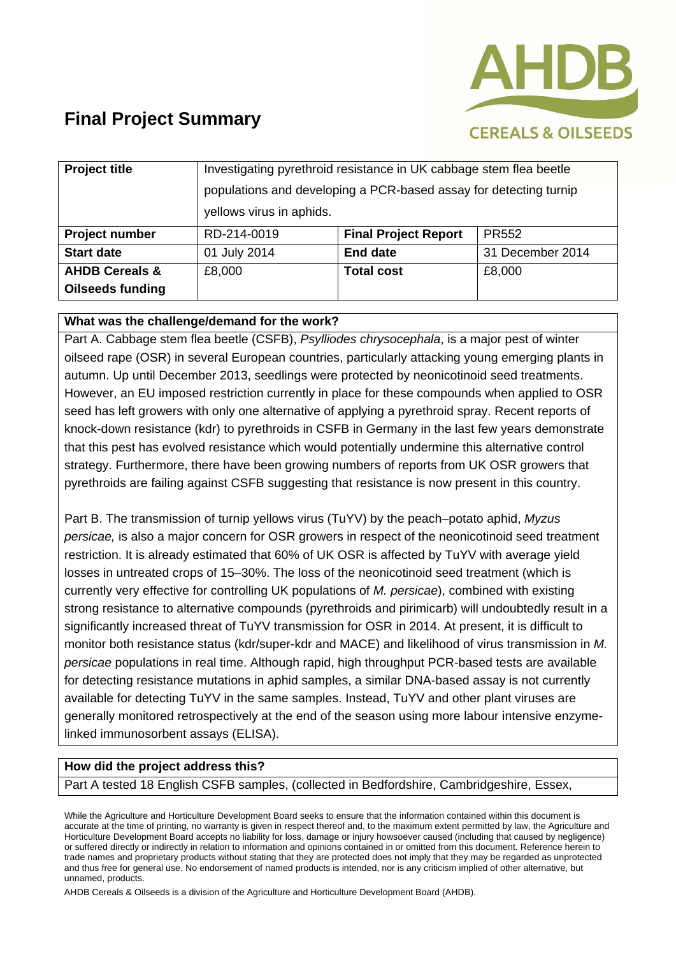

| <b>Project title</b>      | Investigating pyrethroid resistance in UK cabbage stem flea beetle |                             |                  |
|---------------------------|--------------------------------------------------------------------|-----------------------------|------------------|
|                           | populations and developing a PCR-based assay for detecting turnip  |                             |                  |
|                           | yellows virus in aphids.                                           |                             |                  |
| Project number            | RD-214-0019                                                        | <b>Final Project Report</b> | <b>PR552</b>     |
| <b>Start date</b>         | 01 July 2014                                                       | <b>End date</b>             | 31 December 2014 |
| <b>AHDB Cereals &amp;</b> | £8,000                                                             | <b>Total cost</b>           | £8,000           |
| <b>Oilseeds funding</b>   |                                                                    |                             |                  |

#### **What was the challenge/demand for the work?**

Part A. Cabbage stem flea beetle (CSFB), *Psylliodes chrysocephala*, is a major pest of winter oilseed rape (OSR) in several European countries, particularly attacking young emerging plants in autumn. Up until December 2013, seedlings were protected by neonicotinoid seed treatments. However, an EU imposed restriction currently in place for these compounds when applied to OSR seed has left growers with only one alternative of applying a pyrethroid spray. Recent reports of knock-down resistance (kdr) to pyrethroids in CSFB in Germany in the last few years demonstrate that this pest has evolved resistance which would potentially undermine this alternative control strategy. Furthermore, there have been growing numbers of reports from UK OSR growers that pyrethroids are failing against CSFB suggesting that resistance is now present in this country.

Part B. The transmission of turnip yellows virus (TuYV) by the peach–potato aphid, *Myzus persicae,* is also a major concern for OSR growers in respect of the neonicotinoid seed treatment restriction. It is already estimated that 60% of UK OSR is affected by TuYV with average yield losses in untreated crops of 15–30%. The loss of the neonicotinoid seed treatment (which is currently very effective for controlling UK populations of *M. persicae*), combined with existing strong resistance to alternative compounds (pyrethroids and pirimicarb) will undoubtedly result in a significantly increased threat of TuYV transmission for OSR in 2014. At present, it is difficult to monitor both resistance status (kdr/super-kdr and MACE) and likelihood of virus transmission in *M. persicae* populations in real time. Although rapid, high throughput PCR-based tests are available for detecting resistance mutations in aphid samples, a similar DNA-based assay is not currently available for detecting TuYV in the same samples. Instead, TuYV and other plant viruses are generally monitored retrospectively at the end of the season using more labour intensive enzymelinked immunosorbent assays (ELISA).

#### **How did the project address this?**

Part A tested 18 English CSFB samples, (collected in Bedfordshire, Cambridgeshire, Essex,

While the Agriculture and Horticulture Development Board seeks to ensure that the information contained within this document is accurate at the time of printing, no warranty is given in respect thereof and, to the maximum extent permitted by law, the Agriculture and Horticulture Development Board accepts no liability for loss, damage or injury howsoever caused (including that caused by negligence) or suffered directly or indirectly in relation to information and opinions contained in or omitted from this document. Reference herein to trade names and proprietary products without stating that they are protected does not imply that they may be regarded as unprotected and thus free for general use. No endorsement of named products is intended, nor is any criticism implied of other alternative, but unnamed, products.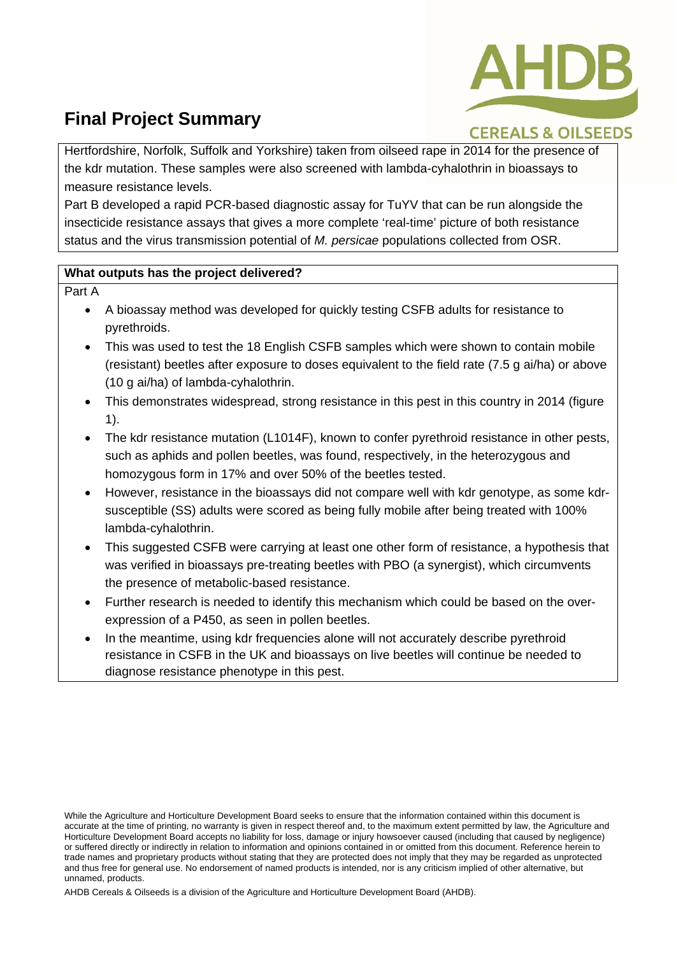

### **CEREALS & OILSEEDS**

Hertfordshire, Norfolk, Suffolk and Yorkshire) taken from oilseed rape in 2014 for the presence of the kdr mutation. These samples were also screened with lambda-cyhalothrin in bioassays to measure resistance levels.

Part B developed a rapid PCR-based diagnostic assay for TuYV that can be run alongside the insecticide resistance assays that gives a more complete 'real-time' picture of both resistance status and the virus transmission potential of *M. persicae* populations collected from OSR.

#### **What outputs has the project delivered?**

Part A

- A bioassay method was developed for quickly testing CSFB adults for resistance to pyrethroids.
- This was used to test the 18 English CSFB samples which were shown to contain mobile (resistant) beetles after exposure to doses equivalent to the field rate (7.5 g ai/ha) or above (10 g ai/ha) of lambda-cyhalothrin.
- This demonstrates widespread, strong resistance in this pest in this country in 2014 (figure 1).
- The kdr resistance mutation (L1014F), known to confer pyrethroid resistance in other pests, such as aphids and pollen beetles, was found, respectively, in the heterozygous and homozygous form in 17% and over 50% of the beetles tested.
- However, resistance in the bioassays did not compare well with kdr genotype, as some kdrsusceptible (SS) adults were scored as being fully mobile after being treated with 100% lambda-cyhalothrin.
- This suggested CSFB were carrying at least one other form of resistance, a hypothesis that was verified in bioassays pre-treating beetles with PBO (a synergist), which circumvents the presence of metabolic-based resistance.
- Further research is needed to identify this mechanism which could be based on the overexpression of a P450, as seen in pollen beetles.
- In the meantime, using kdr frequencies alone will not accurately describe pyrethroid resistance in CSFB in the UK and bioassays on live beetles will continue be needed to diagnose resistance phenotype in this pest.

While the Agriculture and Horticulture Development Board seeks to ensure that the information contained within this document is accurate at the time of printing, no warranty is given in respect thereof and, to the maximum extent permitted by law, the Agriculture and Horticulture Development Board accepts no liability for loss, damage or injury howsoever caused (including that caused by negligence) or suffered directly or indirectly in relation to information and opinions contained in or omitted from this document. Reference herein to trade names and proprietary products without stating that they are protected does not imply that they may be regarded as unprotected and thus free for general use. No endorsement of named products is intended, nor is any criticism implied of other alternative, but unnamed, products.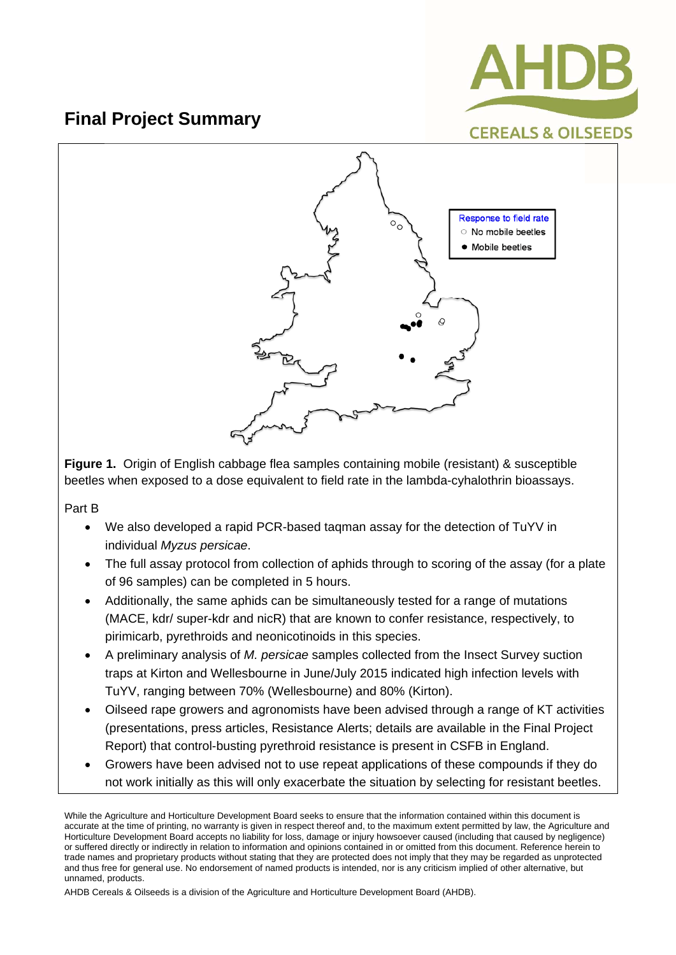



**Figure 1.** Origin of English cabbage flea samples containing mobile (resistant) & susceptible beetles when exposed to a dose equivalent to field rate in the lambda-cyhalothrin bioassays.

Part B

- We also developed a rapid PCR-based taqman assay for the detection of TuYV in individual *Myzus persicae*.
- The full assay protocol from collection of aphids through to scoring of the assay (for a plate of 96 samples) can be completed in 5 hours.
- Additionally, the same aphids can be simultaneously tested for a range of mutations (MACE, kdr/ super-kdr and nicR) that are known to confer resistance, respectively, to pirimicarb, pyrethroids and neonicotinoids in this species.
- A preliminary analysis of *M. persicae* samples collected from the Insect Survey suction traps at Kirton and Wellesbourne in June/July 2015 indicated high infection levels with TuYV, ranging between 70% (Wellesbourne) and 80% (Kirton).
- Oilseed rape growers and agronomists have been advised through a range of KT activities (presentations, press articles, Resistance Alerts; details are available in the Final Project Report) that control-busting pyrethroid resistance is present in CSFB in England.
- Growers have been advised not to use repeat applications of these compounds if they do not work initially as this will only exacerbate the situation by selecting for resistant beetles.

While the Agriculture and Horticulture Development Board seeks to ensure that the information contained within this document is accurate at the time of printing, no warranty is given in respect thereof and, to the maximum extent permitted by law, the Agriculture and Horticulture Development Board accepts no liability for loss, damage or injury howsoever caused (including that caused by negligence) or suffered directly or indirectly in relation to information and opinions contained in or omitted from this document. Reference herein to trade names and proprietary products without stating that they are protected does not imply that they may be regarded as unprotected and thus free for general use. No endorsement of named products is intended, nor is any criticism implied of other alternative, but unnamed, products.